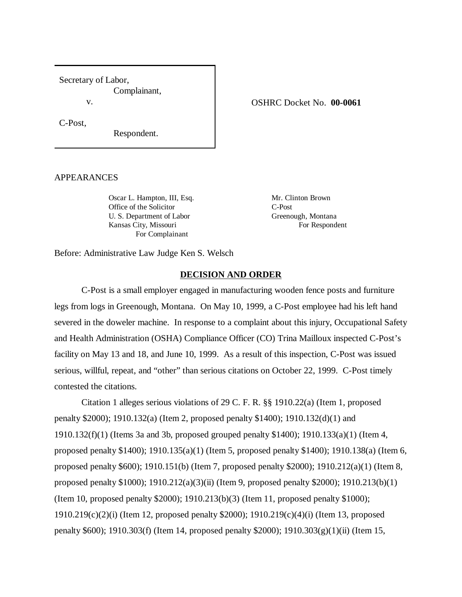Secretary of Labor, Complainant, v.

C-Post,

Respondent.

#### APPEARANCES

Oscar L. Hampton, III, Esq. Mr. Clinton Brown Office of the Solicitor C-Post U. S. Department of Labor Greenough, Montana Kansas City, Missouri For Respondent For Complainant

Before: Administrative Law Judge Ken S. Welsch

## **DECISION AND ORDER**

C-Post is a small employer engaged in manufacturing wooden fence posts and furniture legs from logs in Greenough, Montana. On May 10, 1999, a C-Post employee had his left hand severed in the doweler machine. In response to a complaint about this injury, Occupational Safety and Health Administration (OSHA) Compliance Officer (CO) Trina Mailloux inspected C-Post's facility on May 13 and 18, and June 10, 1999. As a result of this inspection, C-Post was issued serious, willful, repeat, and "other" than serious citations on October 22, 1999. C-Post timely contested the citations.

Citation 1 alleges serious violations of 29 C. F. R. §§ 1910.22(a) (Item 1, proposed penalty \$2000); 1910.132(a) (Item 2, proposed penalty \$1400); 1910.132(d)(1) and 1910.132(f)(1) (Items 3a and 3b, proposed grouped penalty \$1400); 1910.133(a)(1) (Item 4, proposed penalty \$1400); 1910.135(a)(1) (Item 5, proposed penalty \$1400); 1910.138(a) (Item 6, proposed penalty \$600); 1910.151(b) (Item 7, proposed penalty \$2000); 1910.212(a)(1) (Item 8, proposed penalty \$1000); 1910.212(a)(3)(ii) (Item 9, proposed penalty \$2000); 1910.213(b)(1) (Item 10, proposed penalty \$2000); 1910.213(b)(3) (Item 11, proposed penalty \$1000); 1910.219(c)(2)(i) (Item 12, proposed penalty \$2000); 1910.219(c)(4)(i) (Item 13, proposed penalty \$600); 1910.303(f) (Item 14, proposed penalty \$2000); 1910.303(g)(1)(ii) (Item 15,

#### OSHRC Docket No. **00-0061**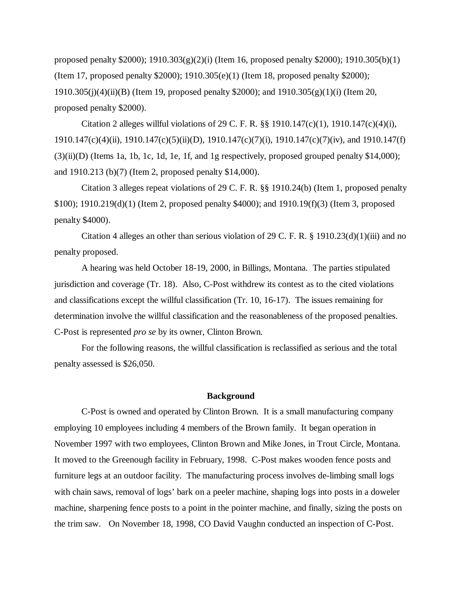proposed penalty \$2000); 1910.303(g)(2)(i) (Item 16, proposed penalty \$2000); 1910.305(b)(1) (Item 17, proposed penalty \$2000); 1910.305(e)(1) (Item 18, proposed penalty \$2000); 1910.305(j)(4)(ii)(B) (Item 19, proposed penalty \$2000); and  $1910.305(g)(1)(i)$  (Item 20, proposed penalty \$2000).

Citation 2 alleges willful violations of 29 C. F. R. §§ 1910.147(c)(1), 1910.147(c)(4)(i), 1910.147(c)(4)(ii), 1910.147(c)(5)(ii)(D), 1910.147(c)(7)(i), 1910.147(c)(7)(iv), and 1910.147(f) (3)(ii)(D) (Items 1a, 1b, 1c, 1d, 1e, 1f, and 1g respectively, proposed grouped penalty \$14,000); and 1910.213 (b)(7) (Item 2, proposed penalty \$14,000).

Citation 3 alleges repeat violations of 29 C. F. R. §§ 1910.24(b) (Item 1, proposed penalty \$100); 1910.219(d)(1) (Item 2, proposed penalty \$4000); and 1910.19(f)(3) (Item 3, proposed penalty \$4000).

Citation 4 alleges an other than serious violation of 29 C. F. R.  $\S$  1910.23(d)(1)(iii) and no penalty proposed.

A hearing was held October 18-19, 2000, in Billings, Montana. The parties stipulated jurisdiction and coverage (Tr. 18). Also, C-Post withdrew its contest as to the cited violations and classifications except the willful classification (Tr. 10, 16-17). The issues remaining for determination involve the willful classification and the reasonableness of the proposed penalties. C-Post is represented *pro se* by its owner, Clinton Brown.

For the following reasons, the willful classification is reclassified as serious and the total penalty assessed is \$26,050.

#### **Background**

C-Post is owned and operated by Clinton Brown. It is a small manufacturing company employing 10 employees including 4 members of the Brown family. It began operation in November 1997 with two employees, Clinton Brown and Mike Jones, in Trout Circle, Montana. It moved to the Greenough facility in February, 1998. C-Post makes wooden fence posts and furniture legs at an outdoor facility. The manufacturing process involves de-limbing small logs with chain saws, removal of logs' bark on a peeler machine, shaping logs into posts in a doweler machine, sharpening fence posts to a point in the pointer machine, and finally, sizing the posts on the trim saw. On November 18, 1998, CO David Vaughn conducted an inspection of C-Post.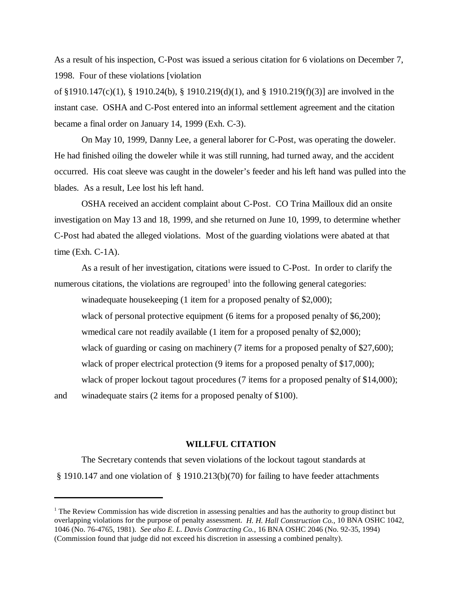As a result of his inspection, C-Post was issued a serious citation for 6 violations on December 7, 1998. Four of these violations [violation

of §1910.147(c)(1), § 1910.24(b), § 1910.219(d)(1), and § 1910.219(f)(3)] are involved in the instant case. OSHA and C-Post entered into an informal settlement agreement and the citation became a final order on January 14, 1999 (Exh. C-3).

On May 10, 1999, Danny Lee, a general laborer for C-Post, was operating the doweler. He had finished oiling the doweler while it was still running, had turned away, and the accident occurred. His coat sleeve was caught in the doweler's feeder and his left hand was pulled into the blades. As a result, Lee lost his left hand.

OSHA received an accident complaint about C-Post. CO Trina Mailloux did an onsite investigation on May 13 and 18, 1999, and she returned on June 10, 1999, to determine whether C-Post had abated the alleged violations. Most of the guarding violations were abated at that time (Exh.  $C-1A$ ).

As a result of her investigation, citations were issued to C-Post. In order to clarify the numerous citations, the violations are regrouped<sup>1</sup> into the following general categories:

winadequate housekeeping (1 item for a proposed penalty of \$2,000); wlack of personal protective equipment (6 items for a proposed penalty of \$6,200); wmedical care not readily available (1 item for a proposed penalty of \$2,000); wlack of guarding or casing on machinery (7 items for a proposed penalty of \$27,600); wlack of proper electrical protection (9 items for a proposed penalty of \$17,000); wlack of proper lockout tagout procedures (7 items for a proposed penalty of \$14,000);

and winadequate stairs (2 items for a proposed penalty of \$100).

## **WILLFUL CITATION**

The Secretary contends that seven violations of the lockout tagout standards at § 1910.147 and one violation of § 1910.213(b)(70) for failing to have feeder attachments

<sup>&</sup>lt;sup>1</sup> The Review Commission has wide discretion in assessing penalties and has the authority to group distinct but overlapping violations for the purpose of penalty assessment. *H. H. Hall Construction Co.,* 10 BNA OSHC 1042, 1046 (No. 76-4765, 1981). *See also E. L. Davis Contracting Co.,* 16 BNA OSHC 2046 (No. 92-35, 1994) (Commission found that judge did not exceed his discretion in assessing a combined penalty).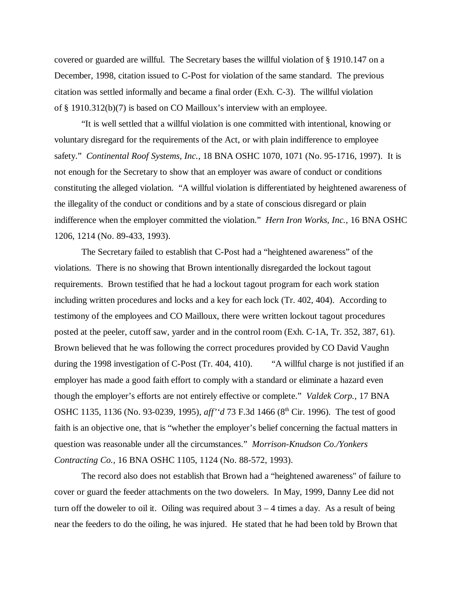covered or guarded are willful. The Secretary bases the willful violation of § 1910.147 on a December, 1998, citation issued to C-Post for violation of the same standard. The previous citation was settled informally and became a final order (Exh. C-3). The willful violation of § 1910.312(b)(7) is based on CO Mailloux's interview with an employee.

"It is well settled that a willful violation is one committed with intentional, knowing or voluntary disregard for the requirements of the Act, or with plain indifference to employee safety." *Continental Roof Systems, Inc.,* 18 BNA OSHC 1070, 1071 (No. 95-1716, 1997). It is not enough for the Secretary to show that an employer was aware of conduct or conditions constituting the alleged violation. "A willful violation is differentiated by heightened awareness of the illegality of the conduct or conditions and by a state of conscious disregard or plain indifference when the employer committed the violation." *Hern Iron Works, Inc.,* 16 BNA OSHC 1206, 1214 (No. 89-433, 1993).

The Secretary failed to establish that C-Post had a "heightened awareness" of the violations. There is no showing that Brown intentionally disregarded the lockout tagout requirements. Brown testified that he had a lockout tagout program for each work station including written procedures and locks and a key for each lock (Tr. 402, 404). According to testimony of the employees and CO Mailloux, there were written lockout tagout procedures posted at the peeler, cutoff saw, yarder and in the control room (Exh. C-1A, Tr. 352, 387, 61). Brown believed that he was following the correct procedures provided by CO David Vaughn during the 1998 investigation of C-Post (Tr. 404, 410). "A willful charge is not justified if an employer has made a good faith effort to comply with a standard or eliminate a hazard even though the employer's efforts are not entirely effective or complete." *Valdek Corp.,* 17 BNA OSHC 1135, 1136 (No. 93-0239, 1995), *aff'* 'd 73 F.3d 1466 (8<sup>th</sup> Cir. 1996). The test of good faith is an objective one, that is "whether the employer's belief concerning the factual matters in question was reasonable under all the circumstances." *Morrison-Knudson Co./Yonkers Contracting Co.,* 16 BNA OSHC 1105, 1124 (No. 88-572, 1993).

The record also does not establish that Brown had a "heightened awareness" of failure to cover or guard the feeder attachments on the two dowelers. In May, 1999, Danny Lee did not turn off the doweler to oil it. Oiling was required about  $3 - 4$  times a day. As a result of being near the feeders to do the oiling, he was injured. He stated that he had been told by Brown that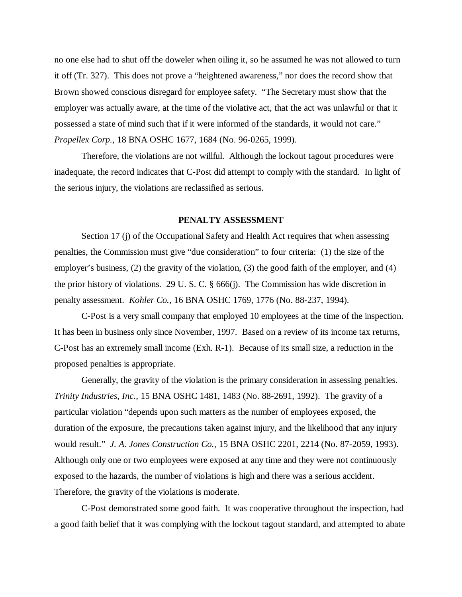no one else had to shut off the doweler when oiling it, so he assumed he was not allowed to turn it off (Tr. 327). This does not prove a "heightened awareness," nor does the record show that Brown showed conscious disregard for employee safety. "The Secretary must show that the employer was actually aware, at the time of the violative act, that the act was unlawful or that it possessed a state of mind such that if it were informed of the standards, it would not care." *Propellex Corp.,* 18 BNA OSHC 1677, 1684 (No. 96-0265, 1999).

Therefore, the violations are not willful. Although the lockout tagout procedures were inadequate, the record indicates that C-Post did attempt to comply with the standard. In light of the serious injury, the violations are reclassified as serious.

# **PENALTY ASSESSMENT**

Section 17 (j) of the Occupational Safety and Health Act requires that when assessing penalties, the Commission must give "due consideration" to four criteria: (1) the size of the employer's business, (2) the gravity of the violation, (3) the good faith of the employer, and (4) the prior history of violations. 29 U. S. C. § 666(j). The Commission has wide discretion in penalty assessment. *Kohler Co.,* 16 BNA OSHC 1769, 1776 (No. 88-237, 1994).

C-Post is a very small company that employed 10 employees at the time of the inspection. It has been in business only since November, 1997. Based on a review of its income tax returns, C-Post has an extremely small income (Exh. R-1). Because of its small size, a reduction in the proposed penalties is appropriate.

Generally, the gravity of the violation is the primary consideration in assessing penalties. *Trinity Industries, Inc.,* 15 BNA OSHC 1481, 1483 (No. 88-2691, 1992). The gravity of a particular violation "depends upon such matters as the number of employees exposed, the duration of the exposure, the precautions taken against injury, and the likelihood that any injury would result." *J. A. Jones Construction Co.,* 15 BNA OSHC 2201, 2214 (No. 87-2059, 1993). Although only one or two employees were exposed at any time and they were not continuously exposed to the hazards, the number of violations is high and there was a serious accident. Therefore, the gravity of the violations is moderate.

C-Post demonstrated some good faith. It was cooperative throughout the inspection, had a good faith belief that it was complying with the lockout tagout standard, and attempted to abate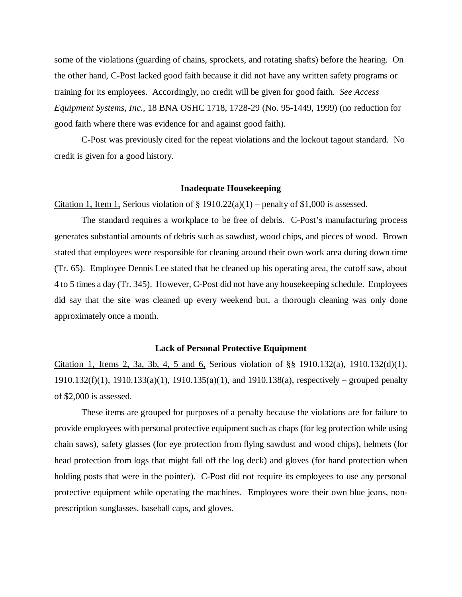some of the violations (guarding of chains, sprockets, and rotating shafts) before the hearing. On the other hand, C-Post lacked good faith because it did not have any written safety programs or training for its employees. Accordingly, no credit will be given for good faith. *See Access Equipment Systems, Inc.,* 18 BNA OSHC 1718, 1728-29 (No. 95-1449, 1999) (no reduction for good faith where there was evidence for and against good faith).

C-Post was previously cited for the repeat violations and the lockout tagout standard. No credit is given for a good history.

## **Inadequate Housekeeping**

Citation 1, Item 1, Serious violation of  $\S 1910.22(a)(1)$  – penalty of \$1,000 is assessed.

The standard requires a workplace to be free of debris. C-Post's manufacturing process generates substantial amounts of debris such as sawdust, wood chips, and pieces of wood. Brown stated that employees were responsible for cleaning around their own work area during down time (Tr. 65). Employee Dennis Lee stated that he cleaned up his operating area, the cutoff saw, about 4 to 5 times a day (Tr. 345). However, C-Post did not have any housekeeping schedule. Employees did say that the site was cleaned up every weekend but, a thorough cleaning was only done approximately once a month.

## **Lack of Personal Protective Equipment**

Citation 1, Items 2, 3a, 3b, 4, 5 and 6, Serious violation of §§ 1910.132(a), 1910.132(d)(1), 1910.132(f)(1), 1910.133(a)(1), 1910.135(a)(1), and 1910.138(a), respectively – grouped penalty of \$2,000 is assessed.

These items are grouped for purposes of a penalty because the violations are for failure to provide employees with personal protective equipment such as chaps (for leg protection while using chain saws), safety glasses (for eye protection from flying sawdust and wood chips), helmets (for head protection from logs that might fall off the log deck) and gloves (for hand protection when holding posts that were in the pointer). C-Post did not require its employees to use any personal protective equipment while operating the machines. Employees wore their own blue jeans, nonprescription sunglasses, baseball caps, and gloves.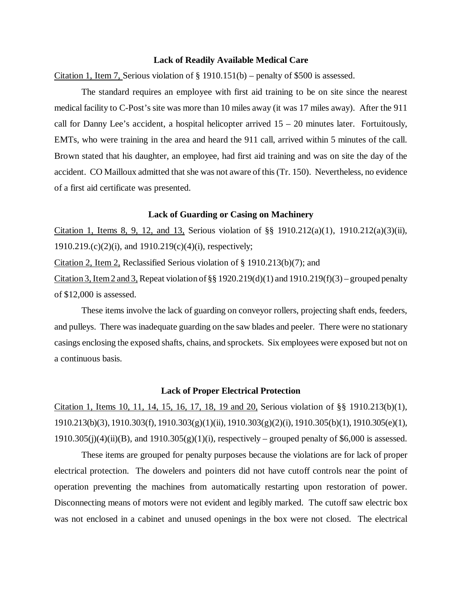#### **Lack of Readily Available Medical Care**

Citation 1, Item 7, Serious violation of  $\S 1910.151(b)$  – penalty of \$500 is assessed.

The standard requires an employee with first aid training to be on site since the nearest medical facility to C-Post's site was more than 10 miles away (it was 17 miles away). After the 911 call for Danny Lee's accident, a hospital helicopter arrived  $15 - 20$  minutes later. Fortuitously, EMTs, who were training in the area and heard the 911 call, arrived within 5 minutes of the call. Brown stated that his daughter, an employee, had first aid training and was on site the day of the accident. CO Mailloux admitted that she was not aware of this (Tr. 150). Nevertheless, no evidence of a first aid certificate was presented.

#### **Lack of Guarding or Casing on Machinery**

Citation 1, Items 8, 9, 12, and 13, Serious violation of  $\S$  1910.212(a)(1), 1910.212(a)(3)(ii), 1910.219.(c)(2)(i), and 1910.219(c)(4)(i), respectively;

Citation 2, Item 2, Reclassified Serious violation of § 1910.213(b)(7); and

Citation 3, Item 2 and 3, Repeat violation of  $\S$ § 1920.219(d)(1) and 1910.219(f)(3) – grouped penalty of \$12,000 is assessed.

These items involve the lack of guarding on conveyor rollers, projecting shaft ends, feeders, and pulleys. There was inadequate guarding on the saw blades and peeler. There were no stationary casings enclosing the exposed shafts, chains, and sprockets. Six employees were exposed but not on a continuous basis.

## **Lack of Proper Electrical Protection**

Citation 1, Items 10, 11, 14, 15, 16, 17, 18, 19 and 20, Serious violation of §§ 1910.213(b)(1), 1910.213(b)(3), 1910.303(f), 1910.303(g)(1)(ii), 1910.303(g)(2)(i), 1910.305(b)(1), 1910.305(e)(1),  $1910.305(j)(4)(ii)(B)$ , and  $1910.305(g)(1)(i)$ , respectively – grouped penalty of \$6,000 is assessed.

These items are grouped for penalty purposes because the violations are for lack of proper electrical protection. The dowelers and pointers did not have cutoff controls near the point of operation preventing the machines from automatically restarting upon restoration of power. Disconnecting means of motors were not evident and legibly marked. The cutoff saw electric box was not enclosed in a cabinet and unused openings in the box were not closed. The electrical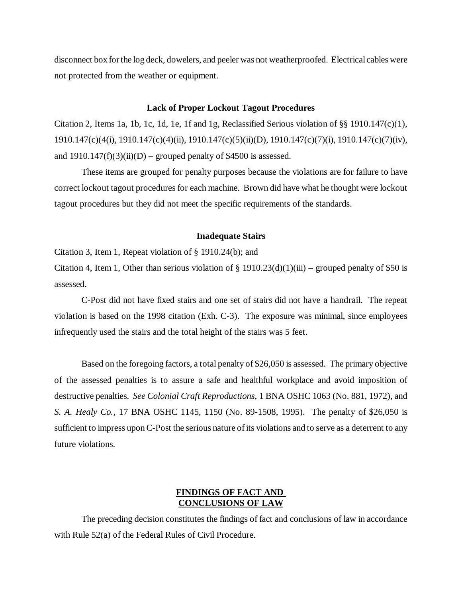disconnect box for the log deck, dowelers, and peeler was not weatherproofed. Electrical cables were not protected from the weather or equipment.

## **Lack of Proper Lockout Tagout Procedures**

Citation 2, Items 1a, 1b, 1c, 1d, 1e, 1f and 1g, Reclassified Serious violation of §§ 1910.147(c)(1), 1910.147(c)(4(i), 1910.147(c)(4)(ii), 1910.147(c)(5)(ii)(D), 1910.147(c)(7)(i), 1910.147(c)(7)(iv), and  $1910.147(f)(3)(ii)(D)$  – grouped penalty of \$4500 is assessed.

These items are grouped for penalty purposes because the violations are for failure to have correct lockout tagout procedures for each machine. Brown did have what he thought were lockout tagout procedures but they did not meet the specific requirements of the standards.

## **Inadequate Stairs**

Citation 3, Item 1, Repeat violation of § 1910.24(b); and

Citation 4, Item 1, Other than serious violation of  $\S 1910.23(d)(1)(iii)$  – grouped penalty of \$50 is assessed.

C-Post did not have fixed stairs and one set of stairs did not have a handrail. The repeat violation is based on the 1998 citation (Exh. C-3). The exposure was minimal, since employees infrequently used the stairs and the total height of the stairs was 5 feet.

Based on the foregoing factors, a total penalty of \$26,050 is assessed. The primary objective of the assessed penalties is to assure a safe and healthful workplace and avoid imposition of destructive penalties. *See Colonial Craft Reproductions,* 1 BNA OSHC 1063 (No. 881, 1972), and *S. A. Healy Co.,* 17 BNA OSHC 1145, 1150 (No. 89-1508, 1995). The penalty of \$26,050 is sufficient to impress upon C-Post the serious nature of its violations and to serve as a deterrent to any future violations.

# **FINDINGS OF FACT AND CONCLUSIONS OF LAW**

The preceding decision constitutes the findings of fact and conclusions of law in accordance with Rule 52(a) of the Federal Rules of Civil Procedure.